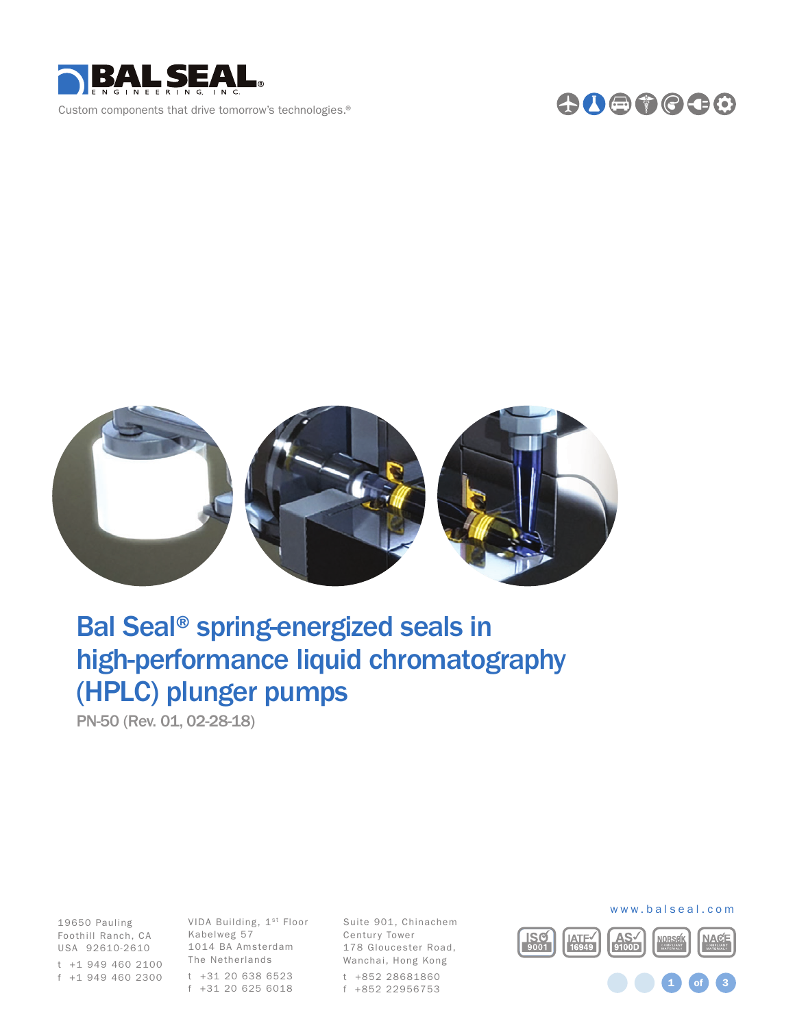





# Bal Seal® spring-energized seals in high-performance liquid chromatography (HPLC) plunger pumps

PN-50 (Rev. 01, 02-28-18)

Foothill Ranch, CA Kabelweg 57 19650 Pauling USA 92610-2610

t +1 949 460 2100 f +1 949 460 2300

VIDA Building, 1st Floor 1014 BA Amsterdam The Netherlands

t +31 20 638 6523 f +31 20 625 6018 Suite 901, Chinachem Century Tower 178 Gloucester Road, Wanchai, Hong Kong t +852 28681860 f +852 22956753



1 **of** 3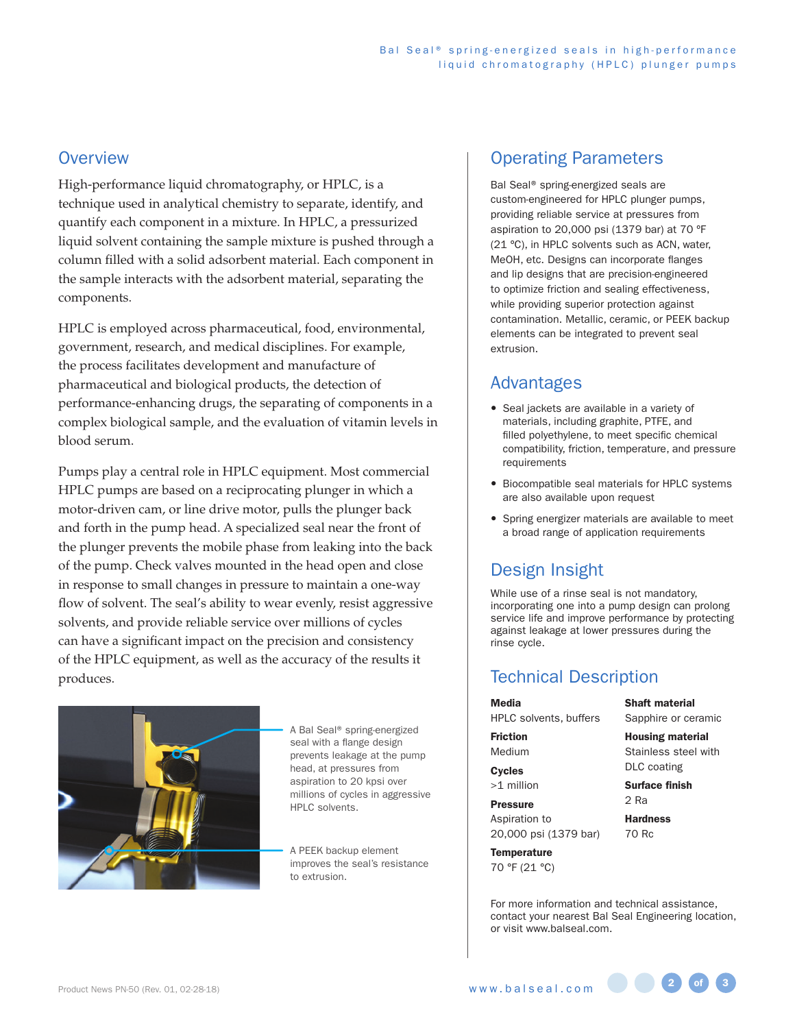#### **Overview**

High-performance liquid chromatography, or HPLC, is a technique used in analytical chemistry to separate, identify, and quantify each component in a mixture. In HPLC, a pressurized liquid solvent containing the sample mixture is pushed through a column filled with a solid adsorbent material. Each component in the sample interacts with the adsorbent material, separating the components.

HPLC is employed across pharmaceutical, food, environmental, government, research, and medical disciplines. For example, the process facilitates development and manufacture of pharmaceutical and biological products, the detection of performance-enhancing drugs, the separating of components in a complex biological sample, and the evaluation of vitamin levels in blood serum.

Pumps play a central role in HPLC equipment. Most commercial HPLC pumps are based on a reciprocating plunger in which a motor-driven cam, or line drive motor, pulls the plunger back and forth in the pump head. A specialized seal near the front of the plunger prevents the mobile phase from leaking into the back of the pump. Check valves mounted in the head open and close in response to small changes in pressure to maintain a one-way flow of solvent. The seal's ability to wear evenly, resist aggressive solvents, and provide reliable service over millions of cycles can have a significant impact on the precision and consistency of the HPLC equipment, as well as the accuracy of the results it produces.



A Bal Seal® spring-energized seal with a flange design prevents leakage at the pump head, at pressures from aspiration to 20 kpsi over millions of cycles in aggressive HPLC solvents.

A PEEK backup element improves the seal's resistance to extrusion.

### Operating Parameters

Bal Seal® spring-energized seals are custom-engineered for HPLC plunger pumps, providing reliable service at pressures from aspiration to 20,000 psi (1379 bar) at 70 ºF (21 ºC), in HPLC solvents such as ACN, water, MeOH, etc. Designs can incorporate flanges and lip designs that are precision-engineered to optimize friction and sealing effectiveness, while providing superior protection against contamination. Metallic, ceramic, or PEEK backup elements can be integrated to prevent seal extrusion.

### Advantages

- Seal jackets are available in a variety of materials, including graphite, PTFE, and filled polyethylene, to meet specific chemical compatibility, friction, temperature, and pressure requirements
- Biocompatible seal materials for HPLC systems are also available upon request
- Spring energizer materials are available to meet a broad range of application requirements

## Design Insight

While use of a rinse seal is not mandatory, incorporating one into a pump design can prolong service life and improve performance by protecting against leakage at lower pressures during the rinse cycle.

## Technical Description

Media

HPLC solvents, buffers

Friction Medium

**Cycles** >1 million

Pressure

Aspiration to 20,000 psi (1379 bar)

**Temperature** 70 °F (21 °C) Shaft material Sapphire or ceramic

Housing material Stainless steel with DLC coating

Surface finish 2 Ra

**Hardness** 70 Rc

For more information and technical assistance, contact your nearest Bal Seal Engineering location, or visit www.balseal.com.